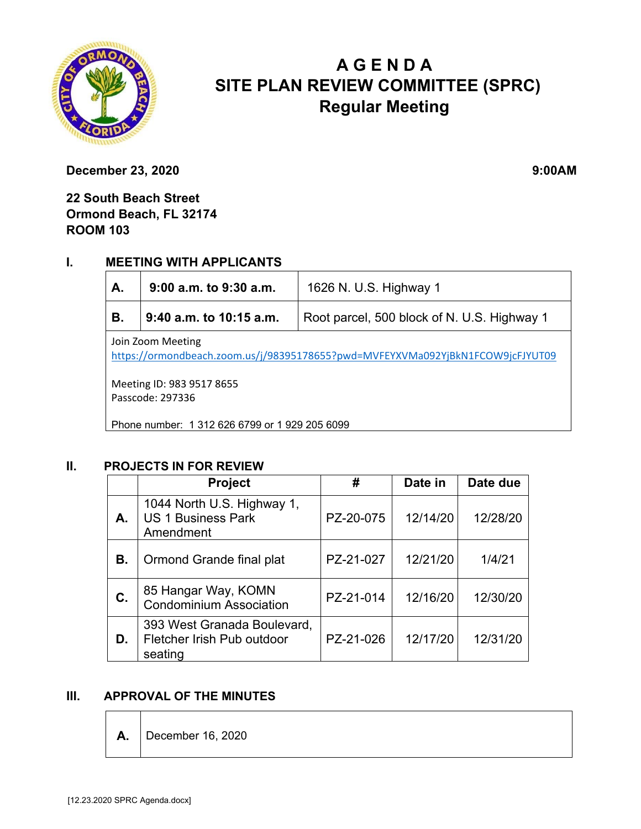

# **A G E N D A SITE PLAN REVIEW COMMITTEE (SPRC) Regular Meeting**

**December 23, 2020** 9:00AM

# **22 South Beach Street Ormond Beach, FL 32174 ROOM 103**

# **I. MEETING WITH APPLICANTS**

| A.                                                                                                  | 9:00 a.m. to 9:30 a.m.  | 1626 N. U.S. Highway 1                      |  |  |  |
|-----------------------------------------------------------------------------------------------------|-------------------------|---------------------------------------------|--|--|--|
| В.                                                                                                  | 9:40 a.m. to 10:15 a.m. | Root parcel, 500 block of N. U.S. Highway 1 |  |  |  |
| Join Zoom Meeting<br>https://ormondbeach.zoom.us/j/98395178655?pwd=MVFEYXVMa092YjBkN1FCOW9jcFJYUT09 |                         |                                             |  |  |  |
| Meeting ID: 983 9517 8655<br>Passcode: 297336                                                       |                         |                                             |  |  |  |

Phone number: 1 312 626 6799 or 1 929 205 6099

### **II. PROJECTS IN FOR REVIEW**

|    | <b>Project</b>                                                       | #         | Date in  | Date due |
|----|----------------------------------------------------------------------|-----------|----------|----------|
| А. | 1044 North U.S. Highway 1,<br><b>US 1 Business Park</b><br>Amendment | PZ-20-075 | 12/14/20 | 12/28/20 |
| В. | Ormond Grande final plat                                             | PZ-21-027 | 12/21/20 | 1/4/21   |
| C. | 85 Hangar Way, KOMN<br><b>Condominium Association</b>                | PZ-21-014 | 12/16/20 | 12/30/20 |
| D. | 393 West Granada Boulevard,<br>Fletcher Irish Pub outdoor<br>seating | PZ-21-026 | 12/17/20 | 12/31/20 |

### **III. APPROVAL OF THE MINUTES**

**A.** December 16, 2020